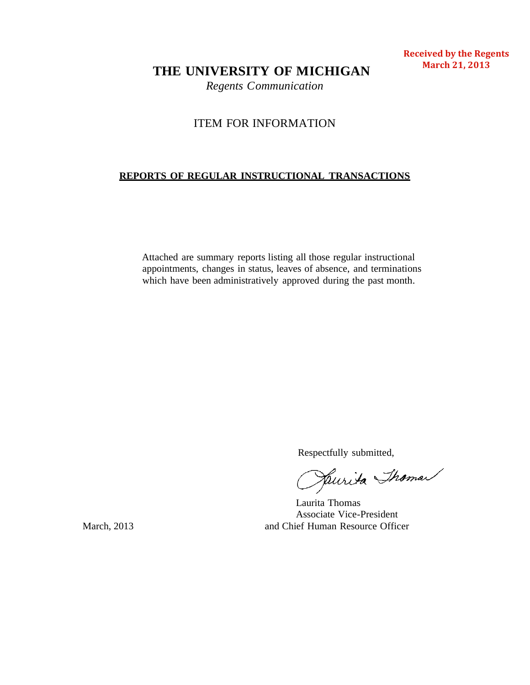**THE UNIVERSITY OF MICHIGAN**

*Regents Communication*

# ITEM FOR INFORMATION

# **REPORTS OF REGULAR INSTRUCTIONAL TRANSACTIONS**

Attached are summary reports listing all those regular instructional appointments, changes in status, leaves of absence, and terminations which have been administratively approved during the past month.

Respectfully submitted,

Laurita Thomas Associate Vice-President March, 2013 and Chief Human Resource Officer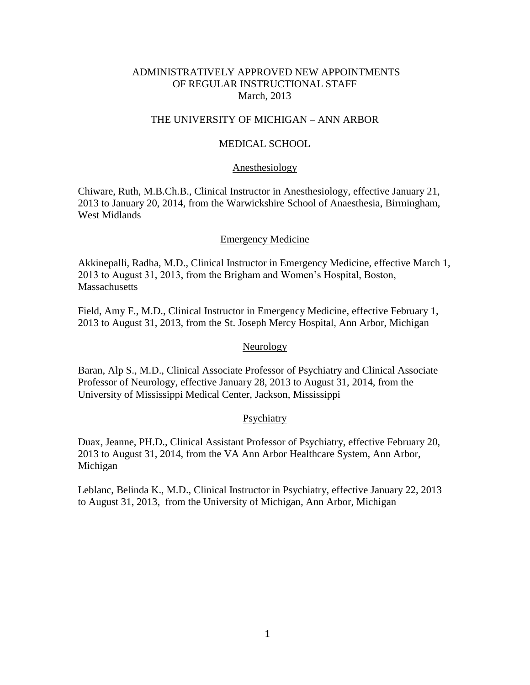## ADMINISTRATIVELY APPROVED NEW APPOINTMENTS OF REGULAR INSTRUCTIONAL STAFF March, 2013

## THE UNIVERSITY OF MICHIGAN – ANN ARBOR

## MEDICAL SCHOOL

#### Anesthesiology

Chiware, Ruth, M.B.Ch.B., Clinical Instructor in Anesthesiology, effective January 21, 2013 to January 20, 2014, from the Warwickshire School of Anaesthesia, Birmingham, West Midlands

#### Emergency Medicine

Akkinepalli, Radha, M.D., Clinical Instructor in Emergency Medicine, effective March 1, 2013 to August 31, 2013, from the Brigham and Women's Hospital, Boston, **Massachusetts** 

Field, Amy F., M.D., Clinical Instructor in Emergency Medicine, effective February 1, 2013 to August 31, 2013, from the St. Joseph Mercy Hospital, Ann Arbor, Michigan

### **Neurology**

Baran, Alp S., M.D., Clinical Associate Professor of Psychiatry and Clinical Associate Professor of Neurology, effective January 28, 2013 to August 31, 2014, from the University of Mississippi Medical Center, Jackson, Mississippi

#### **Psychiatry**

Duax, Jeanne, PH.D., Clinical Assistant Professor of Psychiatry, effective February 20, 2013 to August 31, 2014, from the VA Ann Arbor Healthcare System, Ann Arbor, Michigan

Leblanc, Belinda K., M.D., Clinical Instructor in Psychiatry, effective January 22, 2013 to August 31, 2013, from the University of Michigan, Ann Arbor, Michigan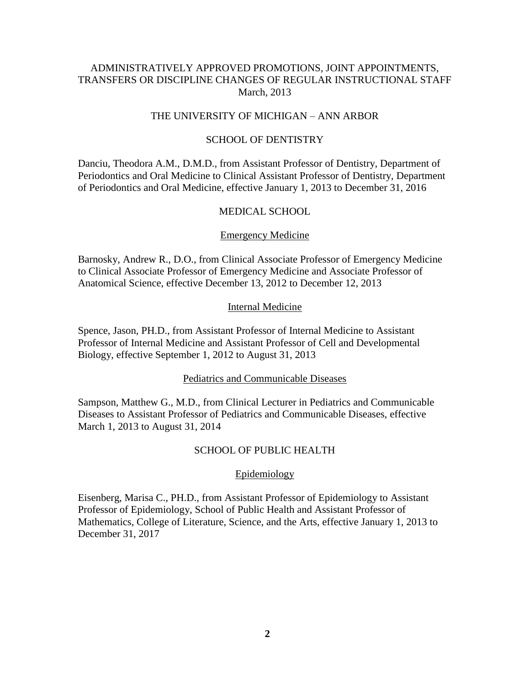## ADMINISTRATIVELY APPROVED PROMOTIONS, JOINT APPOINTMENTS, TRANSFERS OR DISCIPLINE CHANGES OF REGULAR INSTRUCTIONAL STAFF March, 2013

## THE UNIVERSITY OF MICHIGAN – ANN ARBOR

### SCHOOL OF DENTISTRY

Danciu, Theodora A.M., D.M.D., from Assistant Professor of Dentistry, Department of Periodontics and Oral Medicine to Clinical Assistant Professor of Dentistry, Department of Periodontics and Oral Medicine, effective January 1, 2013 to December 31, 2016

### MEDICAL SCHOOL

#### Emergency Medicine

Barnosky, Andrew R., D.O., from Clinical Associate Professor of Emergency Medicine to Clinical Associate Professor of Emergency Medicine and Associate Professor of Anatomical Science, effective December 13, 2012 to December 12, 2013

### Internal Medicine

Spence, Jason, PH.D., from Assistant Professor of Internal Medicine to Assistant Professor of Internal Medicine and Assistant Professor of Cell and Developmental Biology, effective September 1, 2012 to August 31, 2013

#### Pediatrics and Communicable Diseases

Sampson, Matthew G., M.D., from Clinical Lecturer in Pediatrics and Communicable Diseases to Assistant Professor of Pediatrics and Communicable Diseases, effective March 1, 2013 to August 31, 2014

## SCHOOL OF PUBLIC HEALTH

#### Epidemiology

Eisenberg, Marisa C., PH.D., from Assistant Professor of Epidemiology to Assistant Professor of Epidemiology, School of Public Health and Assistant Professor of Mathematics, College of Literature, Science, and the Arts, effective January 1, 2013 to December 31, 2017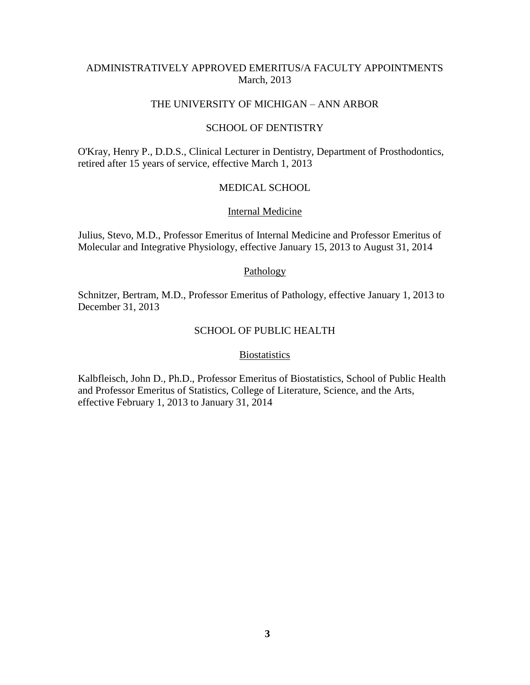## ADMINISTRATIVELY APPROVED EMERITUS/A FACULTY APPOINTMENTS March, 2013

### THE UNIVERSITY OF MICHIGAN – ANN ARBOR

#### SCHOOL OF DENTISTRY

O'Kray, Henry P., D.D.S., Clinical Lecturer in Dentistry, Department of Prosthodontics, retired after 15 years of service, effective March 1, 2013

### MEDICAL SCHOOL

#### Internal Medicine

Julius, Stevo, M.D., Professor Emeritus of Internal Medicine and Professor Emeritus of Molecular and Integrative Physiology, effective January 15, 2013 to August 31, 2014

### Pathology

Schnitzer, Bertram, M.D., Professor Emeritus of Pathology, effective January 1, 2013 to December 31, 2013

## SCHOOL OF PUBLIC HEALTH

### **Biostatistics**

Kalbfleisch, John D., Ph.D., Professor Emeritus of Biostatistics, School of Public Health and Professor Emeritus of Statistics, College of Literature, Science, and the Arts, effective February 1, 2013 to January 31, 2014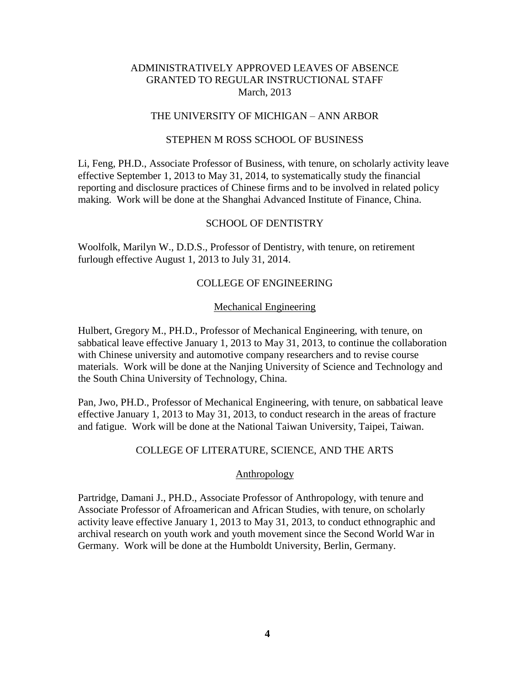### THE UNIVERSITY OF MICHIGAN – ANN ARBOR

### STEPHEN M ROSS SCHOOL OF BUSINESS

Li, Feng, PH.D., Associate Professor of Business, with tenure, on scholarly activity leave effective September 1, 2013 to May 31, 2014, to systematically study the financial reporting and disclosure practices of Chinese firms and to be involved in related policy making. Work will be done at the Shanghai Advanced Institute of Finance, China.

## SCHOOL OF DENTISTRY

Woolfolk, Marilyn W., D.D.S., Professor of Dentistry, with tenure, on retirement furlough effective August 1, 2013 to July 31, 2014.

## COLLEGE OF ENGINEERING

## Mechanical Engineering

Hulbert, Gregory M., PH.D., Professor of Mechanical Engineering, with tenure, on sabbatical leave effective January 1, 2013 to May 31, 2013, to continue the collaboration with Chinese university and automotive company researchers and to revise course materials. Work will be done at the Nanjing University of Science and Technology and the South China University of Technology, China.

Pan, Jwo, PH.D., Professor of Mechanical Engineering, with tenure, on sabbatical leave effective January 1, 2013 to May 31, 2013, to conduct research in the areas of fracture and fatigue. Work will be done at the National Taiwan University, Taipei, Taiwan.

### COLLEGE OF LITERATURE, SCIENCE, AND THE ARTS

### Anthropology

Partridge, Damani J., PH.D., Associate Professor of Anthropology, with tenure and Associate Professor of Afroamerican and African Studies, with tenure, on scholarly activity leave effective January 1, 2013 to May 31, 2013, to conduct ethnographic and archival research on youth work and youth movement since the Second World War in Germany. Work will be done at the Humboldt University, Berlin, Germany.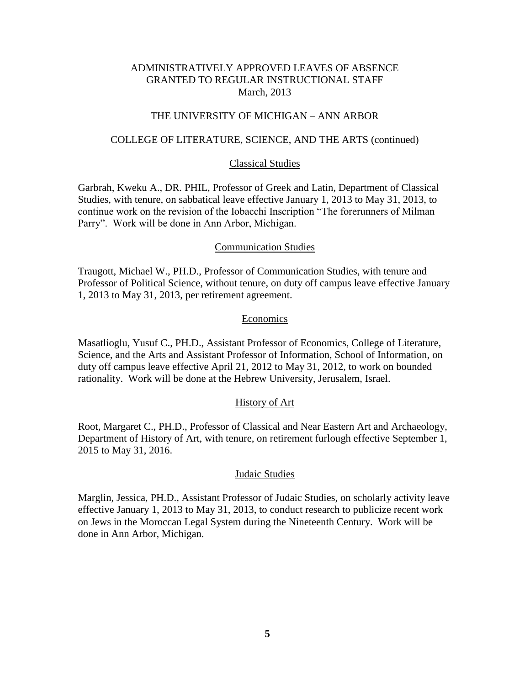## THE UNIVERSITY OF MICHIGAN – ANN ARBOR

### COLLEGE OF LITERATURE, SCIENCE, AND THE ARTS (continued)

#### Classical Studies

Garbrah, Kweku A., DR. PHIL, Professor of Greek and Latin, Department of Classical Studies, with tenure, on sabbatical leave effective January 1, 2013 to May 31, 2013, to continue work on the revision of the Iobacchi Inscription "The forerunners of Milman Parry". Work will be done in Ann Arbor, Michigan.

#### Communication Studies

Traugott, Michael W., PH.D., Professor of Communication Studies, with tenure and Professor of Political Science, without tenure, on duty off campus leave effective January 1, 2013 to May 31, 2013, per retirement agreement.

### Economics

Masatlioglu, Yusuf C., PH.D., Assistant Professor of Economics, College of Literature, Science, and the Arts and Assistant Professor of Information, School of Information, on duty off campus leave effective April 21, 2012 to May 31, 2012, to work on bounded rationality. Work will be done at the Hebrew University, Jerusalem, Israel.

## History of Art

Root, Margaret C., PH.D., Professor of Classical and Near Eastern Art and Archaeology, Department of History of Art, with tenure, on retirement furlough effective September 1, 2015 to May 31, 2016.

#### Judaic Studies

Marglin, Jessica, PH.D., Assistant Professor of Judaic Studies, on scholarly activity leave effective January 1, 2013 to May 31, 2013, to conduct research to publicize recent work on Jews in the Moroccan Legal System during the Nineteenth Century. Work will be done in Ann Arbor, Michigan.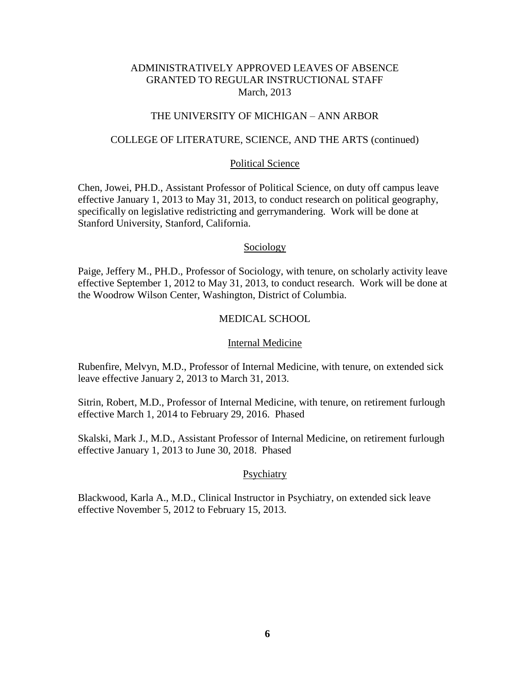## THE UNIVERSITY OF MICHIGAN – ANN ARBOR

### COLLEGE OF LITERATURE, SCIENCE, AND THE ARTS (continued)

### Political Science

Chen, Jowei, PH.D., Assistant Professor of Political Science, on duty off campus leave effective January 1, 2013 to May 31, 2013, to conduct research on political geography, specifically on legislative redistricting and gerrymandering. Work will be done at Stanford University, Stanford, California.

#### Sociology

Paige, Jeffery M., PH.D., Professor of Sociology, with tenure, on scholarly activity leave effective September 1, 2012 to May 31, 2013, to conduct research. Work will be done at the Woodrow Wilson Center, Washington, District of Columbia.

## MEDICAL SCHOOL

#### Internal Medicine

Rubenfire, Melvyn, M.D., Professor of Internal Medicine, with tenure, on extended sick leave effective January 2, 2013 to March 31, 2013.

Sitrin, Robert, M.D., Professor of Internal Medicine, with tenure, on retirement furlough effective March 1, 2014 to February 29, 2016. Phased

Skalski, Mark J., M.D., Assistant Professor of Internal Medicine, on retirement furlough effective January 1, 2013 to June 30, 2018. Phased

#### Psychiatry

Blackwood, Karla A., M.D., Clinical Instructor in Psychiatry, on extended sick leave effective November 5, 2012 to February 15, 2013.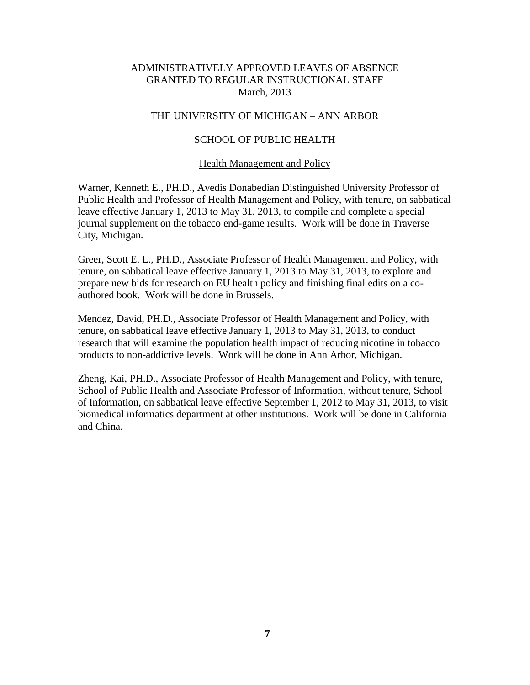## THE UNIVERSITY OF MICHIGAN – ANN ARBOR

## SCHOOL OF PUBLIC HEALTH

### Health Management and Policy

Warner, Kenneth E., PH.D., Avedis Donabedian Distinguished University Professor of Public Health and Professor of Health Management and Policy, with tenure, on sabbatical leave effective January 1, 2013 to May 31, 2013, to compile and complete a special journal supplement on the tobacco end-game results. Work will be done in Traverse City, Michigan.

Greer, Scott E. L., PH.D., Associate Professor of Health Management and Policy, with tenure, on sabbatical leave effective January 1, 2013 to May 31, 2013, to explore and prepare new bids for research on EU health policy and finishing final edits on a coauthored book. Work will be done in Brussels.

Mendez, David, PH.D., Associate Professor of Health Management and Policy, with tenure, on sabbatical leave effective January 1, 2013 to May 31, 2013, to conduct research that will examine the population health impact of reducing nicotine in tobacco products to non-addictive levels. Work will be done in Ann Arbor, Michigan.

Zheng, Kai, PH.D., Associate Professor of Health Management and Policy, with tenure, School of Public Health and Associate Professor of Information, without tenure, School of Information, on sabbatical leave effective September 1, 2012 to May 31, 2013, to visit biomedical informatics department at other institutions. Work will be done in California and China.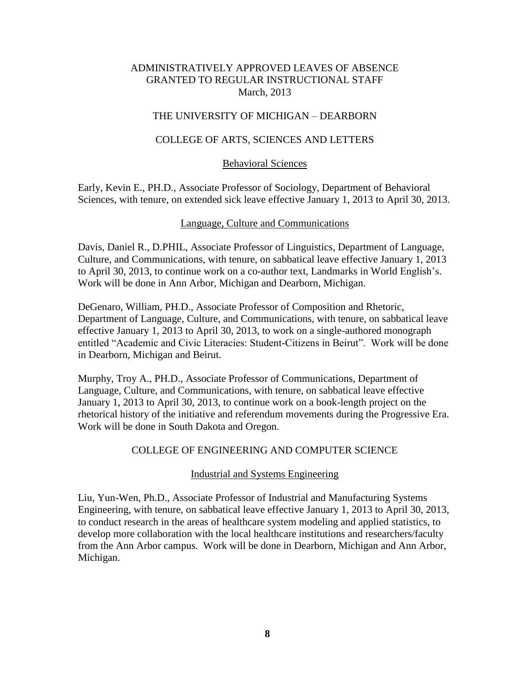## THE UNIVERSITY OF MICHIGAN – DEARBORN

## COLLEGE OF ARTS, SCIENCES AND LETTERS

## Behavioral Sciences

Early, Kevin E., PH.D., Associate Professor of Sociology, Department of Behavioral Sciences, with tenure, on extended sick leave effective January 1, 2013 to April 30, 2013.

## Language, Culture and Communications

Davis, Daniel R., D.PHIL, Associate Professor of Linguistics, Department of Language, Culture, and Communications, with tenure, on sabbatical leave effective January 1, 2013 to April 30, 2013, to continue work on a co-author text, Landmarks in World English's. Work will be done in Ann Arbor, Michigan and Dearborn, Michigan.

DeGenaro, William, PH.D., Associate Professor of Composition and Rhetoric, Department of Language, Culture, and Communications, with tenure, on sabbatical leave effective January 1, 2013 to April 30, 2013, to work on a single-authored monograph entitled "Academic and Civic Literacies: Student-Citizens in Beirut". Work will be done in Dearborn, Michigan and Beirut.

Murphy, Troy A., PH.D., Associate Professor of Communications, Department of Language, Culture, and Communications, with tenure, on sabbatical leave effective January 1, 2013 to April 30, 2013, to continue work on a book-length project on the rhetorical history of the initiative and referendum movements during the Progressive Era. Work will be done in South Dakota and Oregon.

## COLLEGE OF ENGINEERING AND COMPUTER SCIENCE

### Industrial and Systems Engineering

Liu, Yun-Wen, Ph.D., Associate Professor of Industrial and Manufacturing Systems Engineering, with tenure, on sabbatical leave effective January 1, 2013 to April 30, 2013, to conduct research in the areas of healthcare system modeling and applied statistics, to develop more collaboration with the local healthcare institutions and researchers/faculty from the Ann Arbor campus. Work will be done in Dearborn, Michigan and Ann Arbor, Michigan.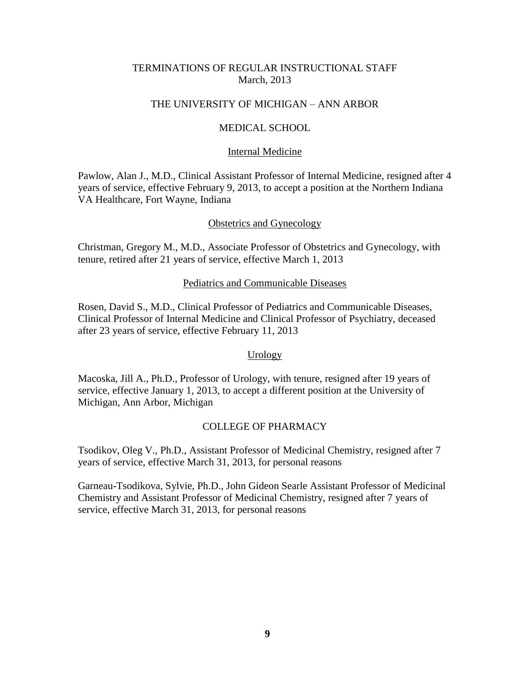## TERMINATIONS OF REGULAR INSTRUCTIONAL STAFF March, 2013

## THE UNIVERSITY OF MICHIGAN – ANN ARBOR

## MEDICAL SCHOOL

### Internal Medicine

Pawlow, Alan J., M.D., Clinical Assistant Professor of Internal Medicine, resigned after 4 years of service, effective February 9, 2013, to accept a position at the Northern Indiana VA Healthcare, Fort Wayne, Indiana

## Obstetrics and Gynecology

Christman, Gregory M., M.D., Associate Professor of Obstetrics and Gynecology, with tenure, retired after 21 years of service, effective March 1, 2013

### Pediatrics and Communicable Diseases

Rosen, David S., M.D., Clinical Professor of Pediatrics and Communicable Diseases, Clinical Professor of Internal Medicine and Clinical Professor of Psychiatry, deceased after 23 years of service, effective February 11, 2013

## Urology

Macoska, Jill A., Ph.D., Professor of Urology, with tenure, resigned after 19 years of service, effective January 1, 2013, to accept a different position at the University of Michigan, Ann Arbor, Michigan

## COLLEGE OF PHARMACY

Tsodikov, Oleg V., Ph.D., Assistant Professor of Medicinal Chemistry, resigned after 7 years of service, effective March 31, 2013, for personal reasons

Garneau-Tsodikova, Sylvie, Ph.D., John Gideon Searle Assistant Professor of Medicinal Chemistry and Assistant Professor of Medicinal Chemistry, resigned after 7 years of service, effective March 31, 2013, for personal reasons